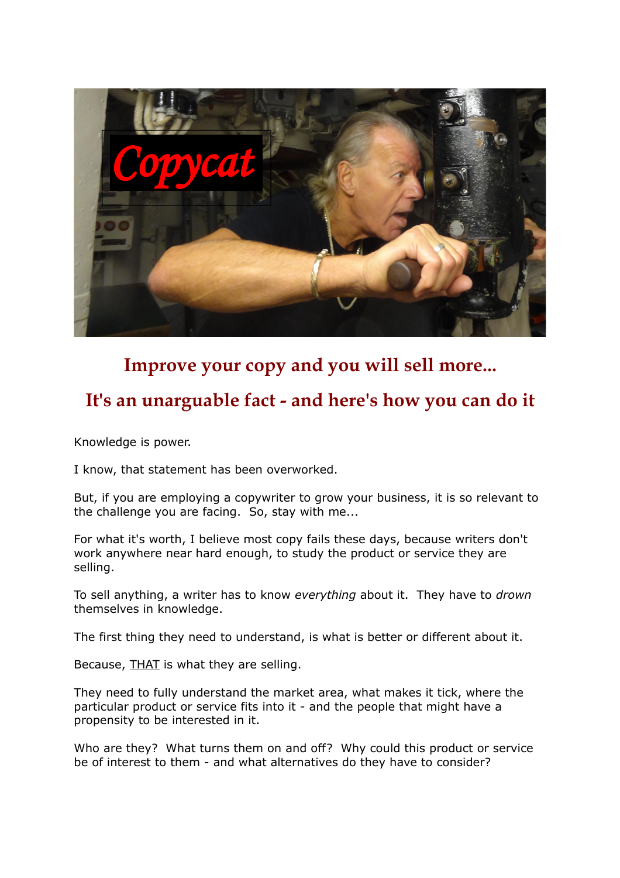

# **Improve your copy and you will sell more...**

## **It's an unarguable fact - and here's how you can do it**

Knowledge is power.

I know, that statement has been overworked.

But, if you are employing a copywriter to grow your business, it is so relevant to the challenge you are facing. So, stay with me...

For what it's worth, I believe most copy fails these days, because writers don't work anywhere near hard enough, to study the product or service they are selling.

To sell anything, a writer has to know *everything* about it. They have to *drown* themselves in knowledge.

The first thing they need to understand, is what is better or different about it.

Because, THAT is what they are selling.

They need to fully understand the market area, what makes it tick, where the particular product or service fits into it - and the people that might have a propensity to be interested in it.

Who are they? What turns them on and off? Why could this product or service be of interest to them - and what alternatives do they have to consider?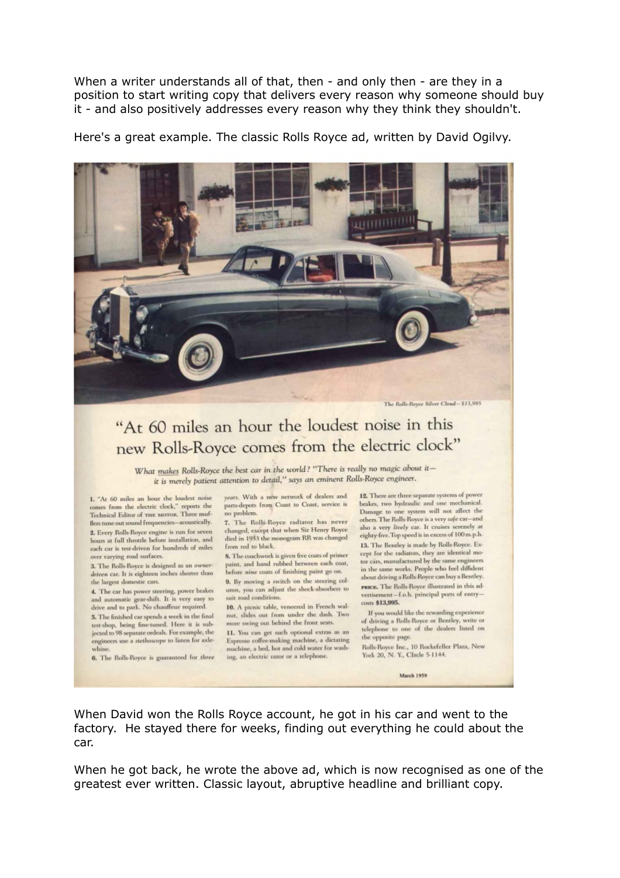When a writer understands all of that, then - and only then - are they in a position to start writing copy that delivers every reason why someone should buy it - and also positively addresses every reason why they think they shouldn't.

Here's a great example. The classic Rolls Royce ad, written by David Ogilvy.



# "At 60 miles an hour the loudest noise in this new Rolls-Royce comes from the electric clock"

What makes Rolls-Royce the best car in the world? "There is really no magic about itit is merely patient attention to detail," says an eminent Rolls-Royce engineer.

1. "At 60 miles an hour the loudest noise comes from the electric clock," reports the Technical Editor of THE MOTOR. Three mufflers tune out sound frequencies-acoustically. 2. Every Rolls-Royce engine is run for seven hours at full throttle before installation, and each car is test-driven for hundreds of miles over varying road surfaces.

3. The Rolls-Royce is designed as an ownerdriven car. It is eighteen inches shorter than the largest domestic cars.

4. The car has power steering, power brakes and automatic gear-shift. It is very easy to drive and to park. No chauffeur required. 5. The finished car spends a week in the final test-shop, being fine-tuned. Here it is subjected to 98 separate ordeals. For example, the engineers use a stethoscope to listen for axle-

6. The Rolls-Royce is guaranteed for three

years. With a new network of dealers and parts-depots from Coast to Coast, service is no problem.

7. The Rolls-Royce radiator has never changed, except that when Sir Henry Royce died in 1933 the monogram RR was changed from red to black.

8. The coachwork is given five coats of primer paint, and hand rubbed between each coat, before nine coats of finishing paint go on. 9. By moving a switch on the steering column, you can adjust the shock-absorbers to

suit road conditions. 10. A picnic table, veneered in French wal-

nut, slides out from under the dash. Two more swing out behind the front seats. 11. You can get such optional extras as an Espresso coffee-making machine, a dictating machine, a bed, hot and cold water for washing, an electric razor or a telephone.

12. There are three separate systems of power brakes, two hydraulic and one mechanical. Damage to one system will not affect the others. The Rolls-Royce is a very safe car-and also a very lively car. It cruises serenely at eighty-five. Top speed is in excess of 100 m.p.h. 13. The Bentley is made by Rolls-Royce. Except for the radiators, they are identical motor cars, manufactured by the same engineers in the same works. People who feel diffident about driving a Rolls-Royce can buy a Bentley. PRICE. The Rolls-Royce illustrated in this advertisement-f.o.b. principal ports of entrycosts \$13,995.

If you would like the rewarding experience of driving a Rolls-Royce or Bentley, write or telephone to one of the dealers listed on the opposite page

Rolls-Royce Inc., 10 Rockefeller Plaza, New York 20, N.Y., CIrcle 5-1144.

March 1959

When David won the Rolls Royce account, he got in his car and went to the factory. He stayed there for weeks, finding out everything he could about the car.

When he got back, he wrote the above ad, which is now recognised as one of the greatest ever written. Classic layout, abruptive headline and brilliant copy.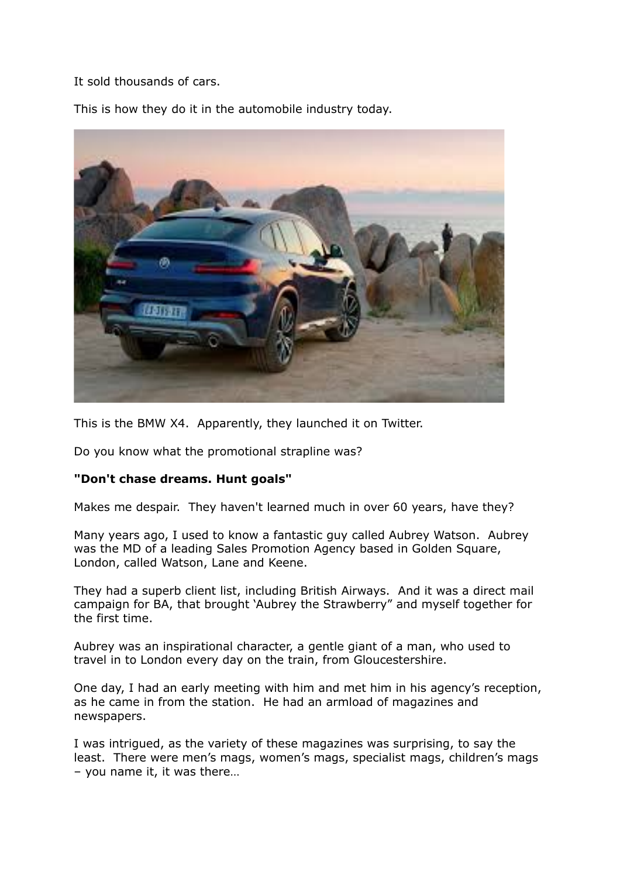It sold thousands of cars.

This is how they do it in the automobile industry today.



This is the BMW X4. Apparently, they launched it on Twitter.

Do you know what the promotional strapline was?

### **"Don't chase dreams. Hunt goals"**

Makes me despair. They haven't learned much in over 60 years, have they?

Many years ago, I used to know a fantastic guy called Aubrey Watson. Aubrey was the MD of a leading Sales Promotion Agency based in Golden Square, London, called Watson, Lane and Keene.

They had a superb client list, including British Airways. And it was a direct mail campaign for BA, that brought 'Aubrey the Strawberry" and myself together for the first time.

Aubrey was an inspirational character, a gentle giant of a man, who used to travel in to London every day on the train, from Gloucestershire.

One day, I had an early meeting with him and met him in his agency's reception, as he came in from the station. He had an armload of magazines and newspapers.

I was intrigued, as the variety of these magazines was surprising, to say the least. There were men's mags, women's mags, specialist mags, children's mags – you name it, it was there…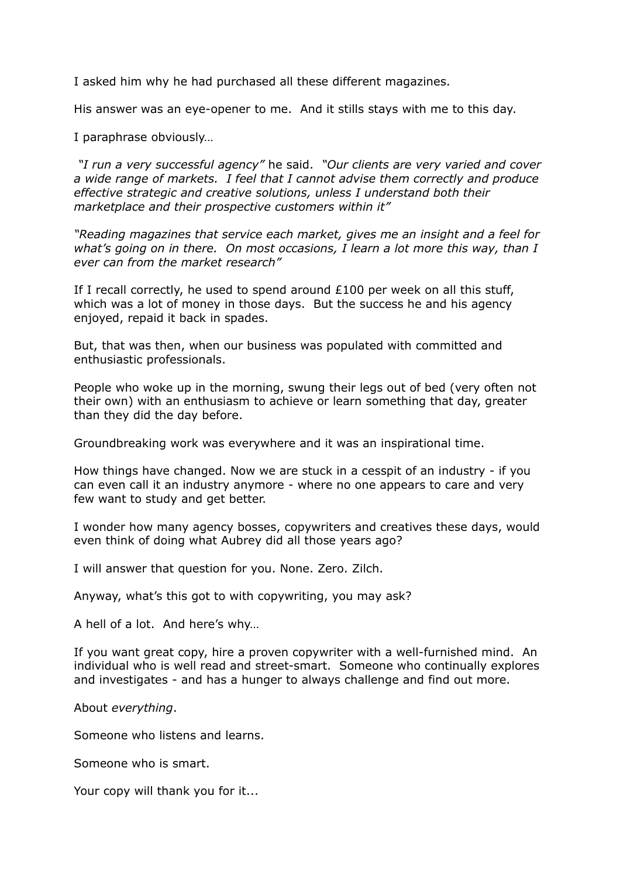I asked him why he had purchased all these different magazines.

His answer was an eye-opener to me. And it stills stays with me to this day.

I paraphrase obviously…

*"I run a very successful agency"* he said. *"Our clients are very varied and cover a wide range of markets. I feel that I cannot advise them correctly and produce effective strategic and creative solutions, unless I understand both their marketplace and their prospective customers within it"*

*"Reading magazines that service each market, gives me an insight and a feel for what's going on in there. On most occasions, I learn a lot more this way, than I ever can from the market research"*

If I recall correctly, he used to spend around £100 per week on all this stuff, which was a lot of money in those days. But the success he and his agency enjoyed, repaid it back in spades.

But, that was then, when our business was populated with committed and enthusiastic professionals.

People who woke up in the morning, swung their legs out of bed (very often not their own) with an enthusiasm to achieve or learn something that day, greater than they did the day before.

Groundbreaking work was everywhere and it was an inspirational time.

How things have changed. Now we are stuck in a cesspit of an industry - if you can even call it an industry anymore - where no one appears to care and very few want to study and get better.

I wonder how many agency bosses, copywriters and creatives these days, would even think of doing what Aubrey did all those years ago?

I will answer that question for you. None. Zero. Zilch.

Anyway, what's this got to with copywriting, you may ask?

A hell of a lot. And here's why…

If you want great copy, hire a proven copywriter with a well-furnished mind. An individual who is well read and street-smart. Someone who continually explores and investigates - and has a hunger to always challenge and find out more.

About *everything*.

Someone who listens and learns.

Someone who is smart.

Your copy will thank you for it...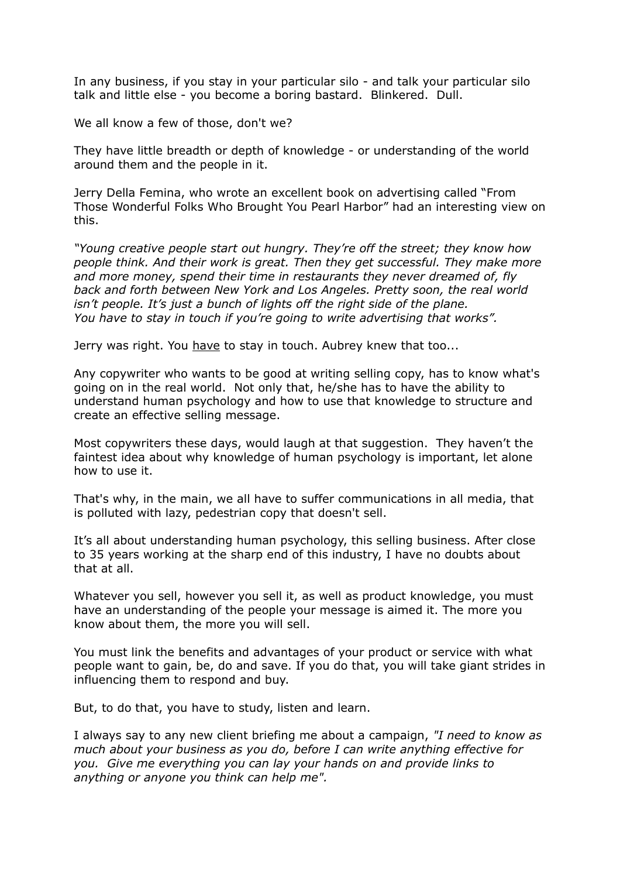In any business, if you stay in your particular silo - and talk your particular silo talk and little else - you become a boring bastard. Blinkered. Dull.

We all know a few of those, don't we?

They have little breadth or depth of knowledge - or understanding of the world around them and the people in it.

Jerry Della Femina, who wrote an excellent book on advertising called "From Those Wonderful Folks Who Brought You Pearl Harbor" had an interesting view on this.

*"Young creative people start out hungry. They're off the street; they know how people think. And their work is great. Then they get successful. They make more and more money, spend their time in restaurants they never dreamed of, fly back and forth between New York and Los Angeles. Pretty soon, the real world isn't people. It's just a bunch of lights off the right side of the plane. You have to stay in touch if you're going to write advertising that works".*

Jerry was right. You have to stay in touch. Aubrey knew that too...

Any copywriter who wants to be good at writing selling copy, has to know what's going on in the real world. Not only that, he/she has to have the ability to understand human psychology and how to use that knowledge to structure and create an effective selling message.

Most copywriters these days, would laugh at that suggestion. They haven't the faintest idea about why knowledge of human psychology is important, let alone how to use it.

That's why, in the main, we all have to suffer communications in all media, that is polluted with lazy, pedestrian copy that doesn't sell.

It's all about understanding human psychology, this selling business. After close to 35 years working at the sharp end of this industry, I have no doubts about that at all.

Whatever you sell, however you sell it, as well as product knowledge, you must have an understanding of the people your message is aimed it. The more you know about them, the more you will sell.

You must link the benefits and advantages of your product or service with what people want to gain, be, do and save. If you do that, you will take giant strides in influencing them to respond and buy.

But, to do that, you have to study, listen and learn.

I always say to any new client briefing me about a campaign, *"I need to know as much about your business as you do, before I can write anything effective for you. Give me everything you can lay your hands on and provide links to anything or anyone you think can help me".*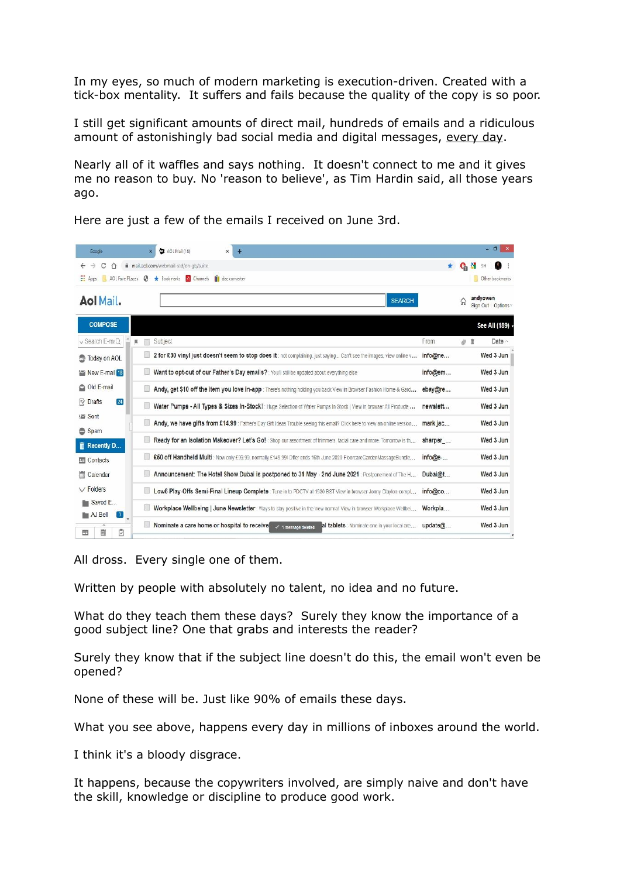In my eyes, so much of modern marketing is execution-driven. Created with a tick-box mentality. It suffers and fails because the quality of the copy is so poor.

I still get significant amounts of direct mail, hundreds of emails and a ridiculous amount of astonishingly bad social media and digital messages, every day.

Nearly all of it waffles and says nothing. It doesn't connect to me and it gives me no reason to buy. No 'reason to believe', as Tim Hardin said, all those years ago.

| Google                                                     | AOL Mail (18)<br>$+$<br>$\times$                                                                                                   |          |    | - 8                            |
|------------------------------------------------------------|------------------------------------------------------------------------------------------------------------------------------------|----------|----|--------------------------------|
| C<br>$\rightarrow$<br>$\hat{D}$                            | mail.aol.com/webmail-std/en-qb/suite                                                                                               |          |    |                                |
| $\frac{1}{2}$ Apps                                         | AOL Fave Places <b>3</b> * Bookmarks <b>3</b> Channels <b>1</b> dac converter                                                      |          |    | Other bookmarks                |
| <b>Aol Mail.</b>                                           | <b>SEARCH</b>                                                                                                                      |          | 'n | andyowen<br>Sign Out   Options |
| <b>COMPOSE</b>                                             |                                                                                                                                    |          |    | See All (189) -                |
| $\vee$ Search E-maQ<br>膩                                   | Subject                                                                                                                            | From     | 01 | Date $\land$                   |
| <b>Co</b> Today on AOL                                     | 2 for £30 vinyl just doesn't seem to stop does it: not complaining, just saying Can't see the images, view online v                | info@ne  |    | Wed 3 Jun                      |
| New E-mail 18                                              | Want to opt-out of our Father's Day emails? : You'll still be updated about everything else                                        | info@em  |    | Wed 3 Jun                      |
| Old E-mail                                                 | Andy, get \$10 off the item you love in-app: There's nothing holding you back View in Browser Fashion Home & Gard                  | ebay@re  |    | Wed 3 Jun                      |
| $\boxed{24}$<br>fv Drafts                                  | Water Pumps - All Types & Sizes In-Stock! : Huge Selection of Water Pumps In Stock   View in browser All Products                  | newslett |    | Wed 3 Jun                      |
| E Sent                                                     | Andy, we have gifts from £14.99 : Father's Day Gift Ideas Trouble seeing this email? Click here to view an online version mark.jac |          |    | Wed 3 Jun                      |
| Spam<br><b>m</b> Recently D                                | Ready for an Isolation Makeover? Let's Go! Shop our assortment of trimmers, facial care and more. Tomorrow is th                   | sharper  |    | Wed 3 Jun                      |
| <b>Ed</b> Contacts                                         | £50 off Handheld Multi : Now only £99.99, normally £149.99! Offer ends 16th June 2020 FloorcareGardenMassageBundle                 | info@e-  |    | Wed 3 Jun                      |
| Calendar                                                   | Announcement: The Hotel Show Dubai is postponed to 31 May - 2nd June 2021 : Postponement of The H                                  | Dubai@t  |    | Wed 3 Jun                      |
| $\vee$ Folders                                             | Low6 Play-Offs Semi-Final Lineup Complete: Tune in to PDCTV at 1930 BST View in browser Jonny Clayton compl                        | info@co  |    | Wed 3 Jun                      |
| <b>The Saved E</b><br><b>No AJ Bell</b><br>$\vert 3 \vert$ | Workplace Wellbeing   June Newsletter : Ways to stay positive in the 'new normal' View in browser Workplace Wellbei                | Workpla  |    | Wed 3 Jun                      |
| ₿<br>扁<br>国                                                | Nominate a care home or hospital to receive<br>al tablets : Nominate one in your local are<br>$\checkmark$ 1 message deleted.      | update@  |    | Wed 3 Jun                      |

Here are just a few of the emails I received on June 3rd.

All dross. Every single one of them.

Written by people with absolutely no talent, no idea and no future.

What do they teach them these days? Surely they know the importance of a good subject line? One that grabs and interests the reader?

Surely they know that if the subject line doesn't do this, the email won't even be opened?

None of these will be. Just like 90% of emails these days.

What you see above, happens every day in millions of inboxes around the world.

I think it's a bloody disgrace.

It happens, because the copywriters involved, are simply naive and don't have the skill, knowledge or discipline to produce good work.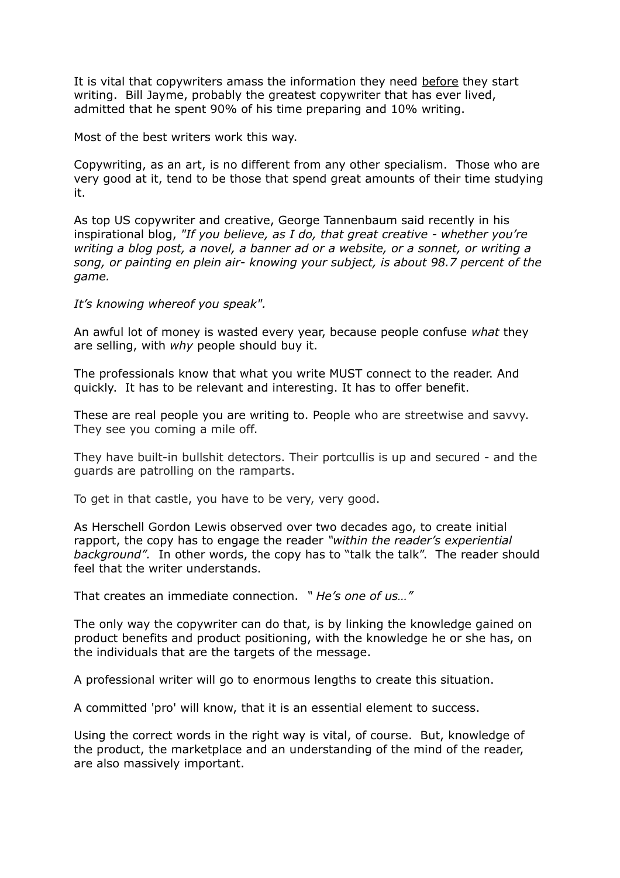It is vital that copywriters amass the information they need before they start writing. Bill Jayme, probably the greatest copywriter that has ever lived, admitted that he spent 90% of his time preparing and 10% writing.

Most of the best writers work this way.

Copywriting, as an art, is no different from any other specialism. Those who are very good at it, tend to be those that spend great amounts of their time studying it.

As top US copywriter and creative, George Tannenbaum said recently in his inspirational blog, *"If you believe, as I do, that great creative - whether you're writing a blog post, a novel, a banner ad or a website, or a sonnet, or writing a song, or painting en plein air- knowing your subject, is about 98.7 percent of the game.*

*It's knowing whereof you speak".*

An awful lot of money is wasted every year, because people confuse *what* they are selling, with *why* people should buy it.

The professionals know that what you write MUST connect to the reader. And quickly. It has to be relevant and interesting. It has to offer benefit.

These are real people you are writing to. People who are streetwise and savvy. They see you coming a mile off.

They have built-in bullshit detectors. Their portcullis is up and secured - and the guards are patrolling on the ramparts.

To get in that castle, you have to be very, very good.

As Herschell Gordon Lewis observed over two decades ago, to create initial rapport, the copy has to engage the reader *"within the reader's experiential background".* In other words, the copy has to "talk the talk". The reader should feel that the writer understands.

That creates an immediate connection. *" He's one of us…"*

The only way the copywriter can do that, is by linking the knowledge gained on product benefits and product positioning, with the knowledge he or she has, on the individuals that are the targets of the message.

A professional writer will go to enormous lengths to create this situation.

A committed 'pro' will know, that it is an essential element to success.

Using the correct words in the right way is vital, of course. But, knowledge of the product, the marketplace and an understanding of the mind of the reader, are also massively important.